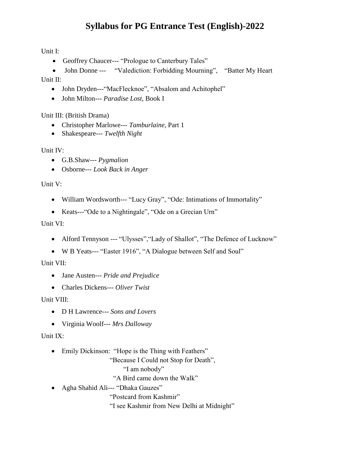# **Syllabus for PG Entrance Test (English)-2022**

Unit I:

- Geoffrey Chaucer--- "Prologue to Canterbury Tales"
- John Donne --- "Valediction: Forbidding Mourning", "Batter My Heart"

Unit II:

- John Dryden---"MacFlecknoe", "Absalom and Achitophel"
- John Milton--- *Paradise Lost,* Book I

Unit III: (British Drama)

- Christopher Marlowe--- *Tamburlaine,* Part 1
- Shakespeare--- *Twelfth Night*

Unit IV:

- G.B.Shaw--- *Pygmalion*
- Osborne--- *Look Back in Anger*

Unit V:

- William Wordsworth--- "Lucy Gray", "Ode: Intimations of Immortality"
- Keats---"Ode to a Nightingale", "Ode on a Grecian Urn"

#### Unit VI:

- Alford Tennyson --- "Ulysses", "Lady of Shallot", "The Defence of Lucknow"
- W B Yeats--- "Easter 1916", "A Dialogue between Self and Soul"

Unit VII:

- Jane Austen--- *Pride and Prejudice*
- Charles Dickens--- *Oliver Twist*

Unit VIII:

- D H Lawrence--- *Sons and Lovers*
- Virginia Woolf--- *Mrs Dalloway*

Unit IX:

• Emily Dickinson: "Hope is the Thing with Feathers"

"Because I Could not Stop for Death",

"I am nobody"

"A Bird came down the Walk"

Agha Shahid Ali--- "Dhaka Gauzes"

"Postcard from Kashmir"

"I see Kashmir from New Delhi at Midnight"